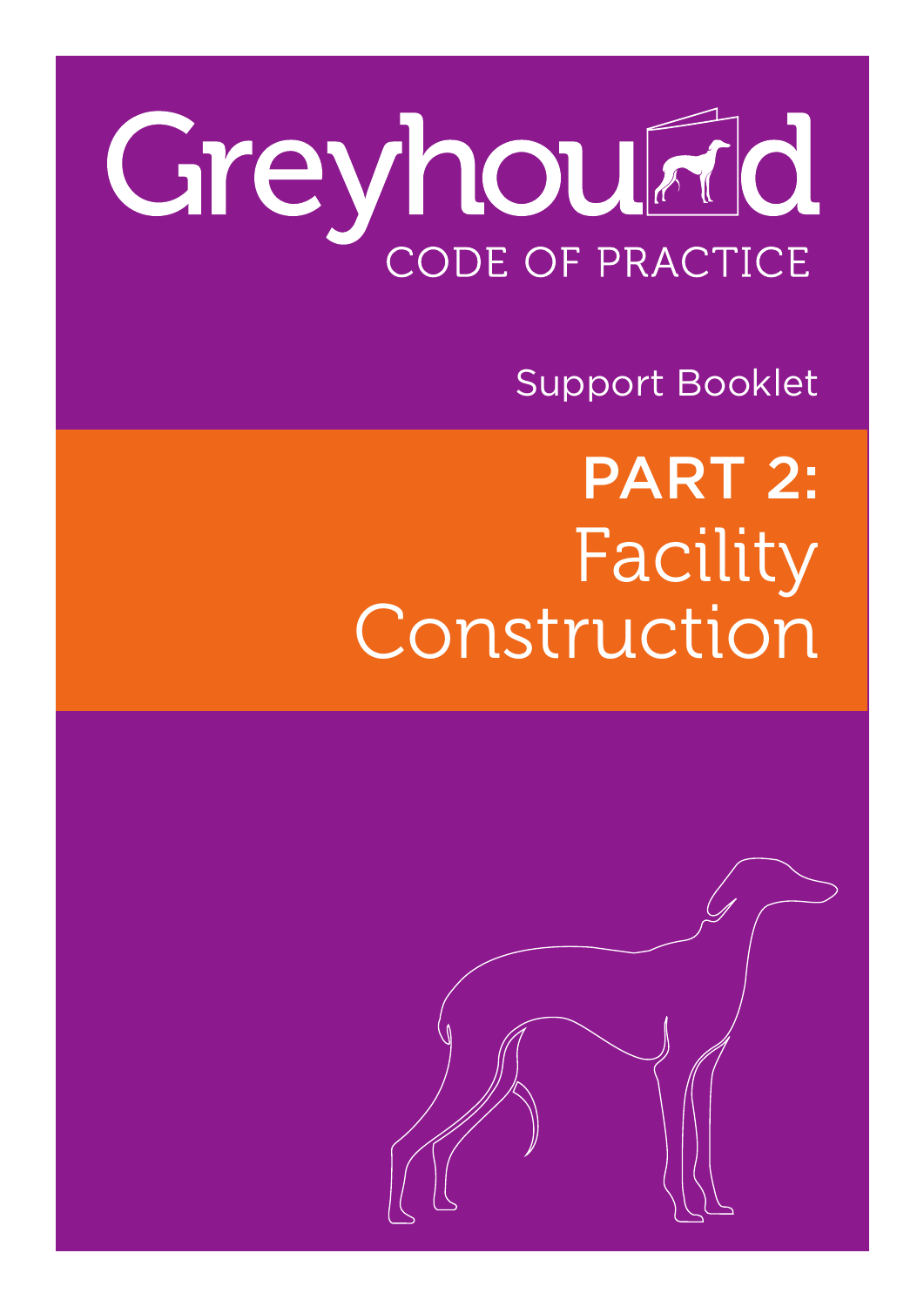# Greyhourid CODE OF PRACTICE

Support Booklet

Facility Construction PART 2:

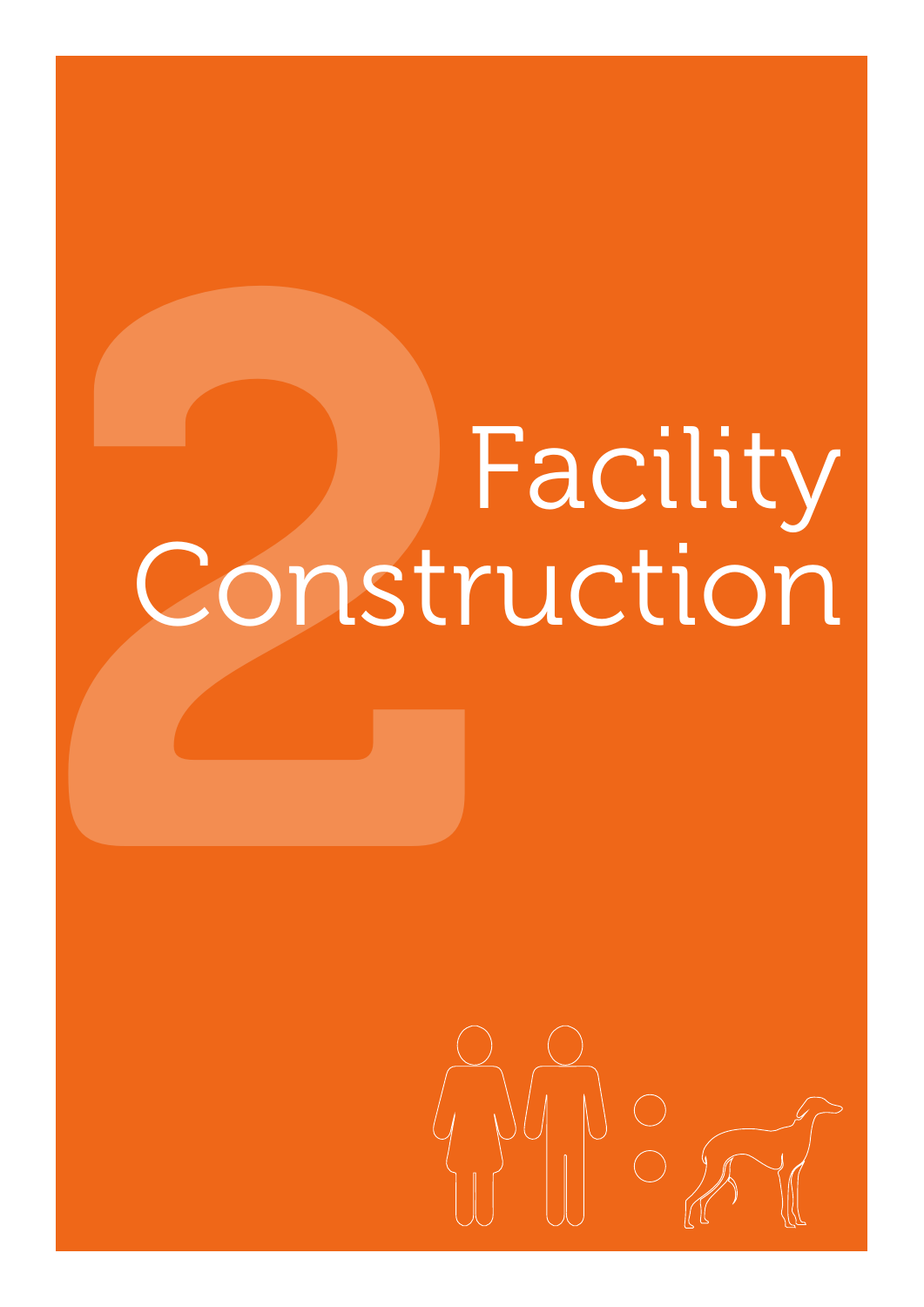# Facility<br>Construction Construction

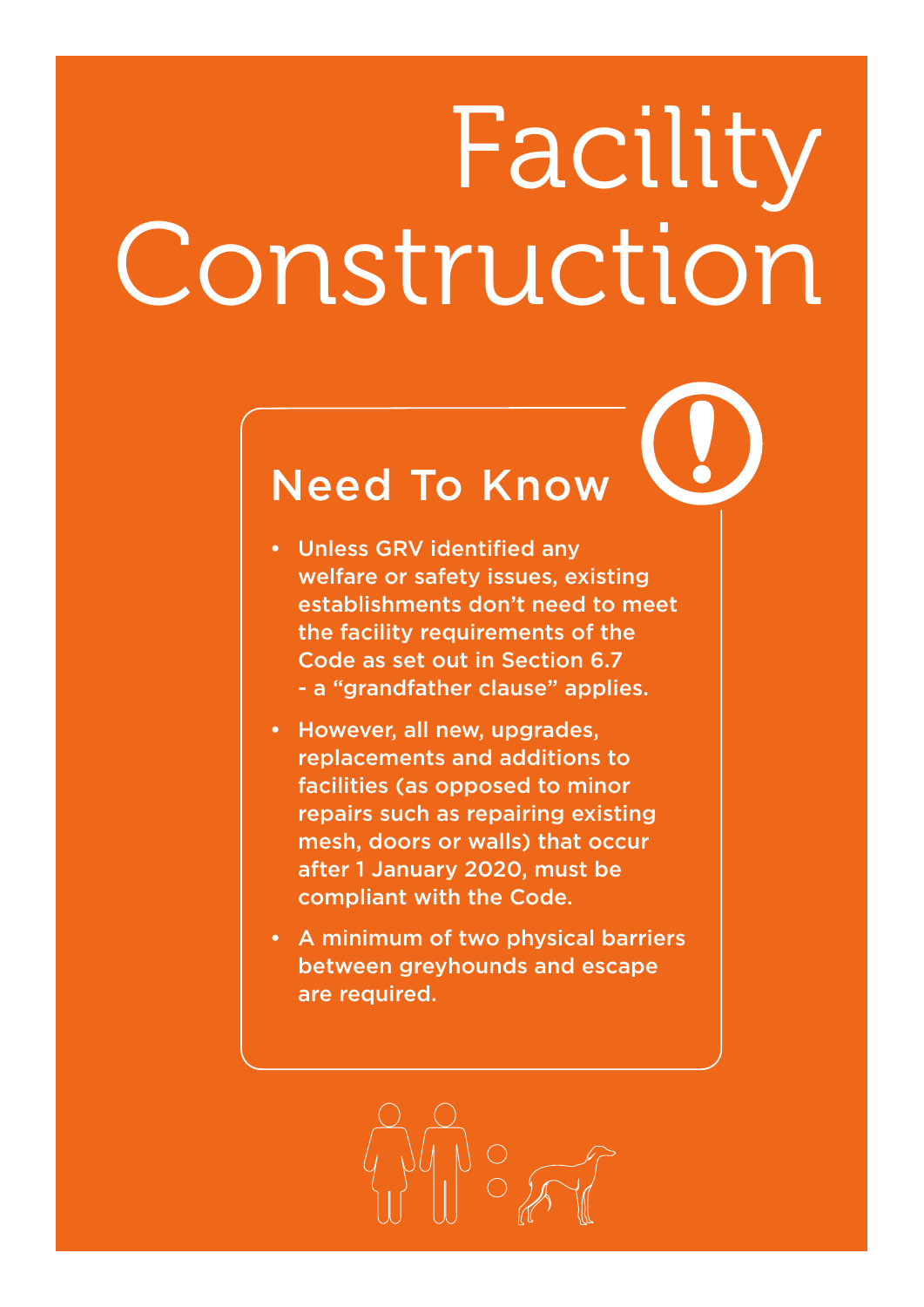# Facility Construction

# Need To Know

- Unless GRV identified any welfare or safety issues, existing establishments don't need to meet the facility requirements of the Code as set out in Section 6.7 - a "grandfather clause" applies.
- • However, all new, upgrades, replacements and additions to facilities (as opposed to minor repairs such as repairing existing mesh, doors or walls) that occur after 1 January 2020, must be compliant with the Code.
- • A minimum of two physical barriers between greyhounds and escape are required.

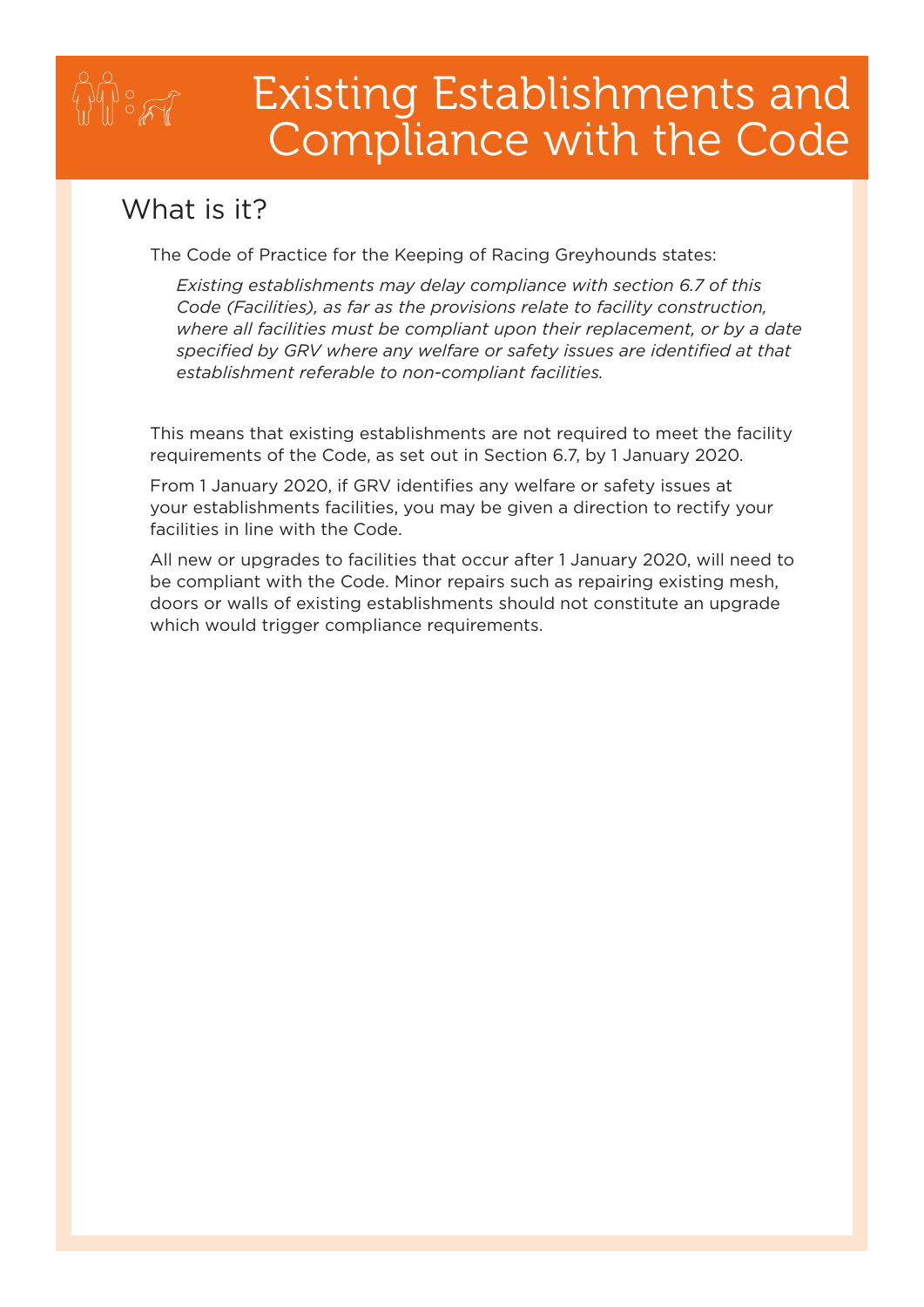### Existing Establishments and Compliance with the Code

#### What is it?

 $\mathbb{Z}^{\infty}$ 

The Code of Practice for the Keeping of Racing Greyhounds states:

 *Existing establishments may delay compliance with section 6.7 of this Code (Facilities), as far as the provisions relate to facility construction, where all facilities must be compliant upon their replacement, or by a date specified by GRV where any welfare or safety issues are identified at that establishment referable to non-compliant facilities.*

This means that existing establishments are not required to meet the facility requirements of the Code, as set out in Section 6.7, by 1 January 2020.

From 1 January 2020, if GRV identifies any welfare or safety issues at your establishments facilities, you may be given a direction to rectify your facilities in line with the Code.

All new or upgrades to facilities that occur after 1 January 2020, will need to be compliant with the Code. Minor repairs such as repairing existing mesh, doors or walls of existing establishments should not constitute an upgrade which would trigger compliance requirements.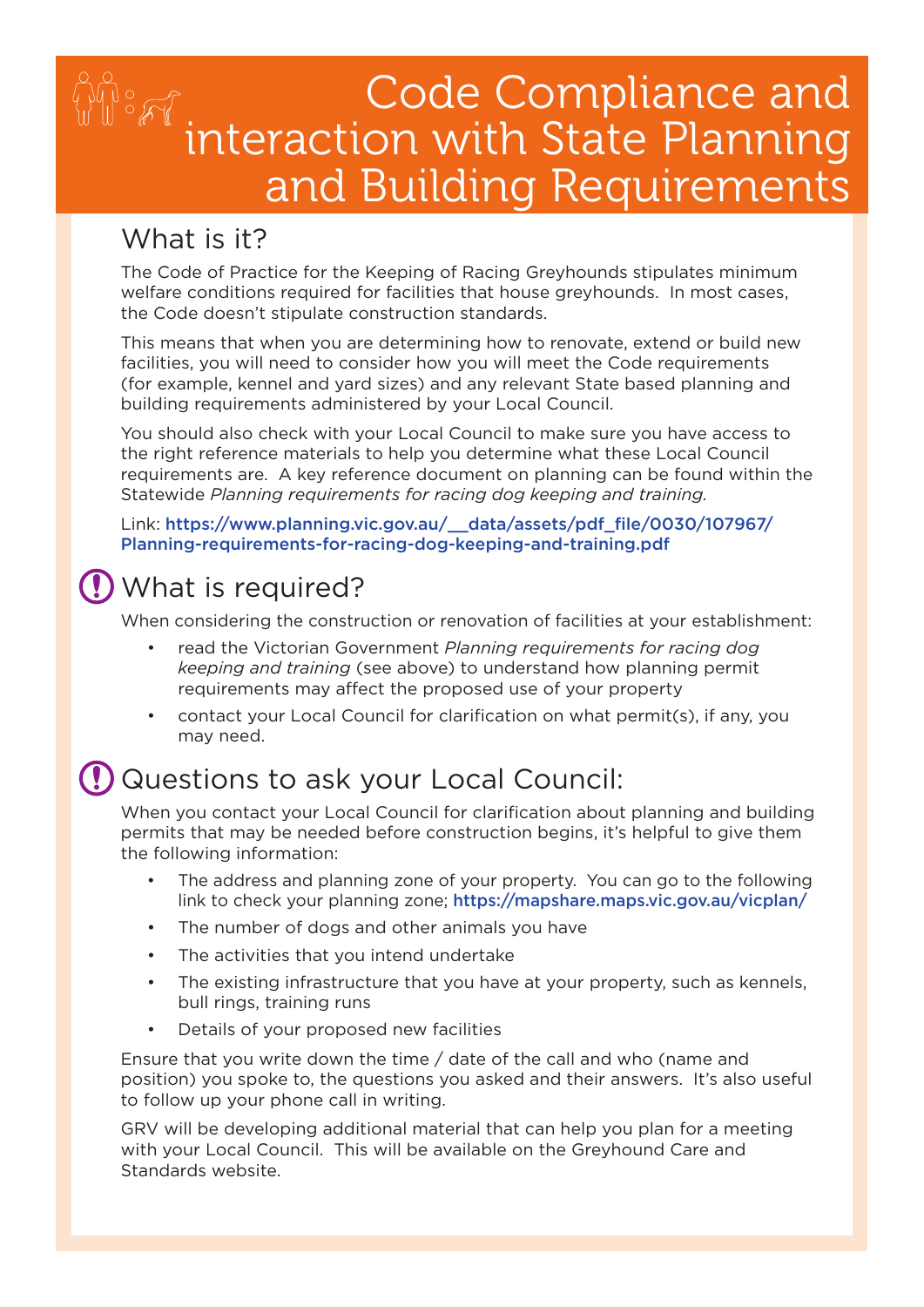# Code Compliance and interaction with State Planning and Building Requirements

#### What is it?

The Code of Practice for the Keeping of Racing Greyhounds stipulates minimum welfare conditions required for facilities that house greyhounds. In most cases, the Code doesn't stipulate construction standards.

This means that when you are determining how to renovate, extend or build new facilities, you will need to consider how you will meet the Code requirements (for example, kennel and yard sizes) and any relevant State based planning and building requirements administered by your Local Council.

You should also check with your Local Council to make sure you have access to the right reference materials to help you determine what these Local Council requirements are. A key reference document on planning can be found within the Statewide *Planning requirements for racing dog keeping and training.* 

Link: [https://www.planning.vic.gov.au/\\_\\_data/assets/pdf\\_file/0030/107967/](https://www.planning.vic.gov.au/__data/assets/pdf_file/0030/107967/Planning-requirements-for-racing-dog-keeping-and-training.pdf) [Planning-requirements-for-racing-dog-keeping-and-training.pdf](https://www.planning.vic.gov.au/__data/assets/pdf_file/0030/107967/Planning-requirements-for-racing-dog-keeping-and-training.pdf) 

#### What is required?

When considering the construction or renovation of facilities at your establishment:

- read the Victorian Government *Planning requirements for racing dog keeping and training* (see above) to understand how planning permit requirements may affect the proposed use of your property
- contact your Local Council for clarification on what permit(s), if any, you may need.

#### Questions to ask your Local Council:

When you contact your Local Council for clarification about planning and building permits that may be needed before construction begins, it's helpful to give them the following information:

- The address and planning zone of your property. You can go to the following link to check your planning zone; <https://mapshare.maps.vic.gov.au/vicplan/>
- The number of dogs and other animals you have
- • The activities that you intend undertake
- The existing infrastructure that you have at your property, such as kennels, bull rings, training runs
- Details of your proposed new facilities

Ensure that you write down the time / date of the call and who (name and position) you spoke to, the questions you asked and their answers. It's also useful to follow up your phone call in writing.

GRV will be developing additional material that can help you plan for a meeting with your Local Council. This will be available on the Greyhound Care and Standards website.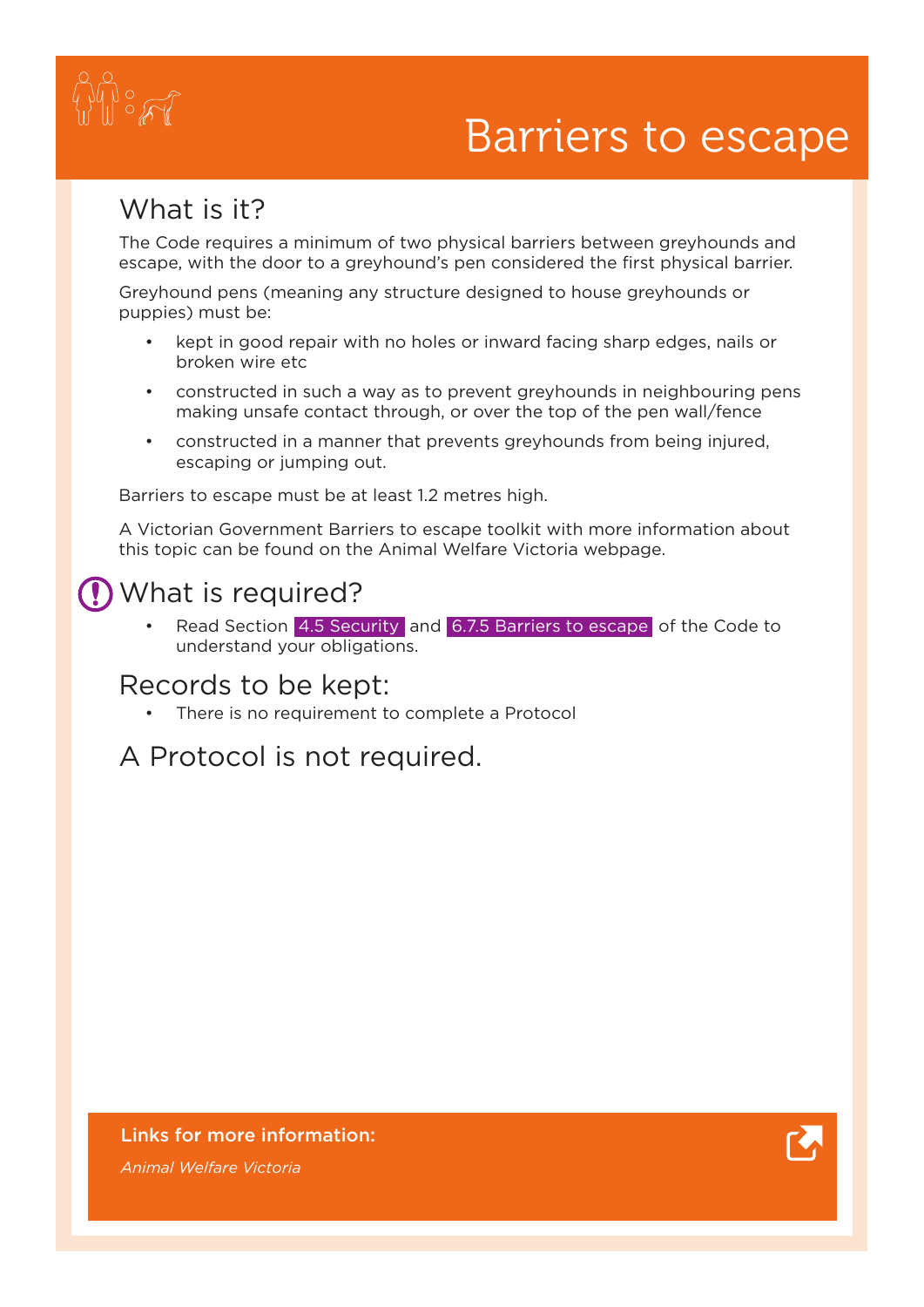

# Barriers to escape

#### What is it?

The Code requires a minimum of two physical barriers between greyhounds and escape, with the door to a greyhound's pen considered the first physical barrier.

Greyhound pens (meaning any structure designed to house greyhounds or puppies) must be:

- kept in good repair with no holes or inward facing sharp edges, nails or broken wire etc
- constructed in such a way as to prevent greyhounds in neighbouring pens making unsafe contact through, or over the top of the pen wall/fence
- • constructed in a manner that prevents greyhounds from being injured, escaping or jumping out.

Barriers to escape must be at least 1.2 metres high.

A Victorian Government Barriers to escape toolkit with more information about this topic can be found on the Animal Welfare Victoria webpage.

#### What is required?

Read Section 4.5 Security and 6.7.5 Barriers to escape of the Code to understand your obligations.

#### Records to be kept:

There is no requirement to complete a Protocol

#### A Protocol is not required.

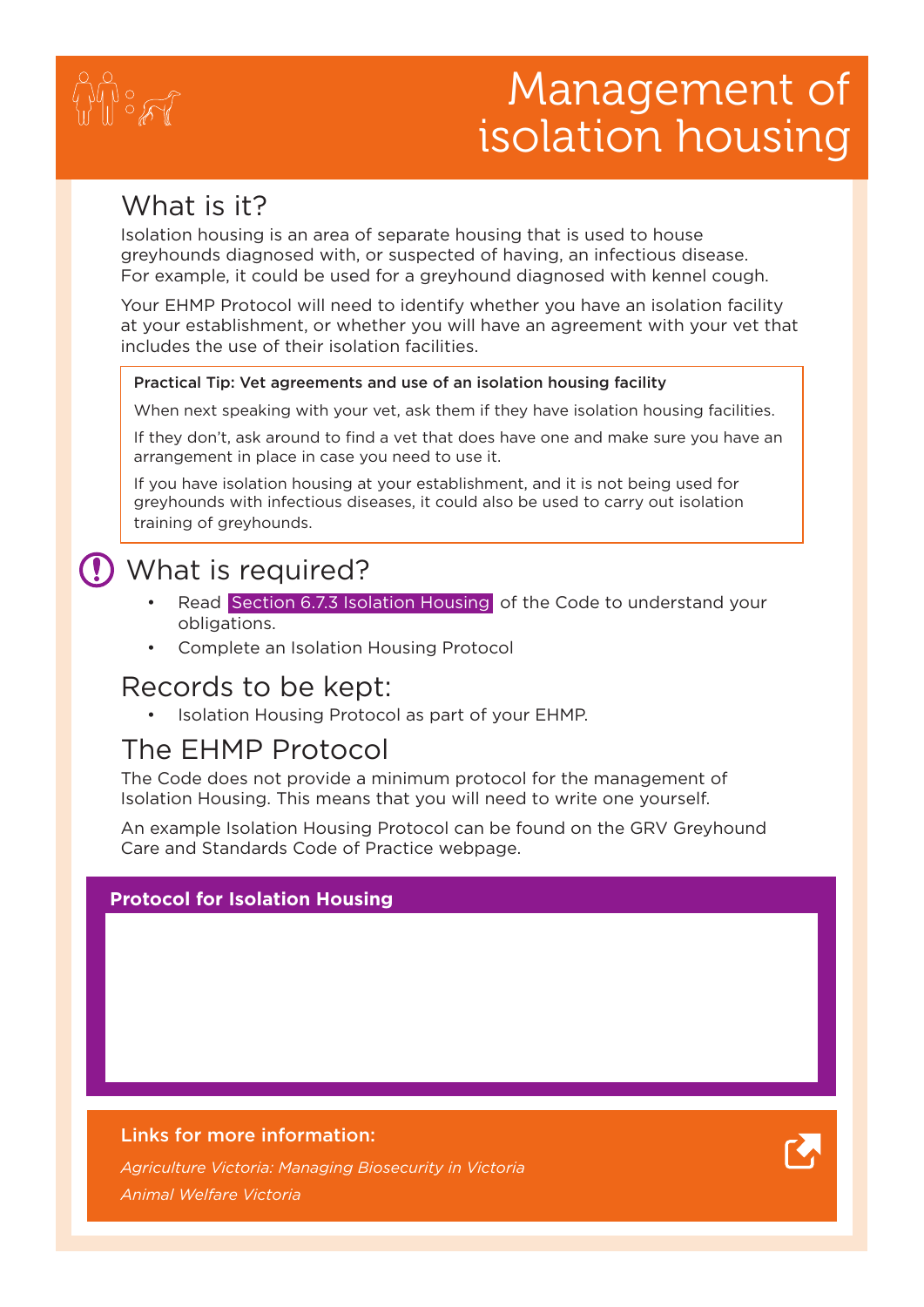

# Management of isolation housing

#### What is it?

Isolation housing is an area of separate housing that is used to house greyhounds diagnosed with, or suspected of having, an infectious disease. For example, it could be used for a greyhound diagnosed with kennel cough.

Your EHMP Protocol will need to identify whether you have an isolation facility at your establishment, or whether you will have an agreement with your vet that includes the use of their isolation facilities.

#### Practical Tip: Vet agreements and use of an isolation housing facility

When next speaking with your vet, ask them if they have isolation housing facilities.

If they don't, ask around to find a vet that does have one and make sure you have an arrangement in place in case you need to use it.

If you have isolation housing at your establishment, and it is not being used for greyhounds with infectious diseases, it could also be used to carry out isolation training of greyhounds.

#### What is required?

- Read Section 6.7.3 Isolation Housing of the Code to understand your obligations.
- Complete an Isolation Housing Protocol

#### Records to be kept:

• Isolation Housing Protocol as part of your EHMP.

#### The EHMP Protocol

The Code does not provide a minimum protocol for the management of Isolation Housing. This means that you will need to write one yourself.

An example Isolation Housing Protocol can be found on the GRV Greyhound Care and Standards Code of Practice webpage.

#### **Protocol for Isolation Housing**

#### Links for more information:

*[Agriculture Victoria: Managing Biosecurity in Victoria](http://agriculture.vic.gov.au/agriculture/biosecurity) [Animal Welfare Victoria](http://www.animalwelfare.vic.gov.au)*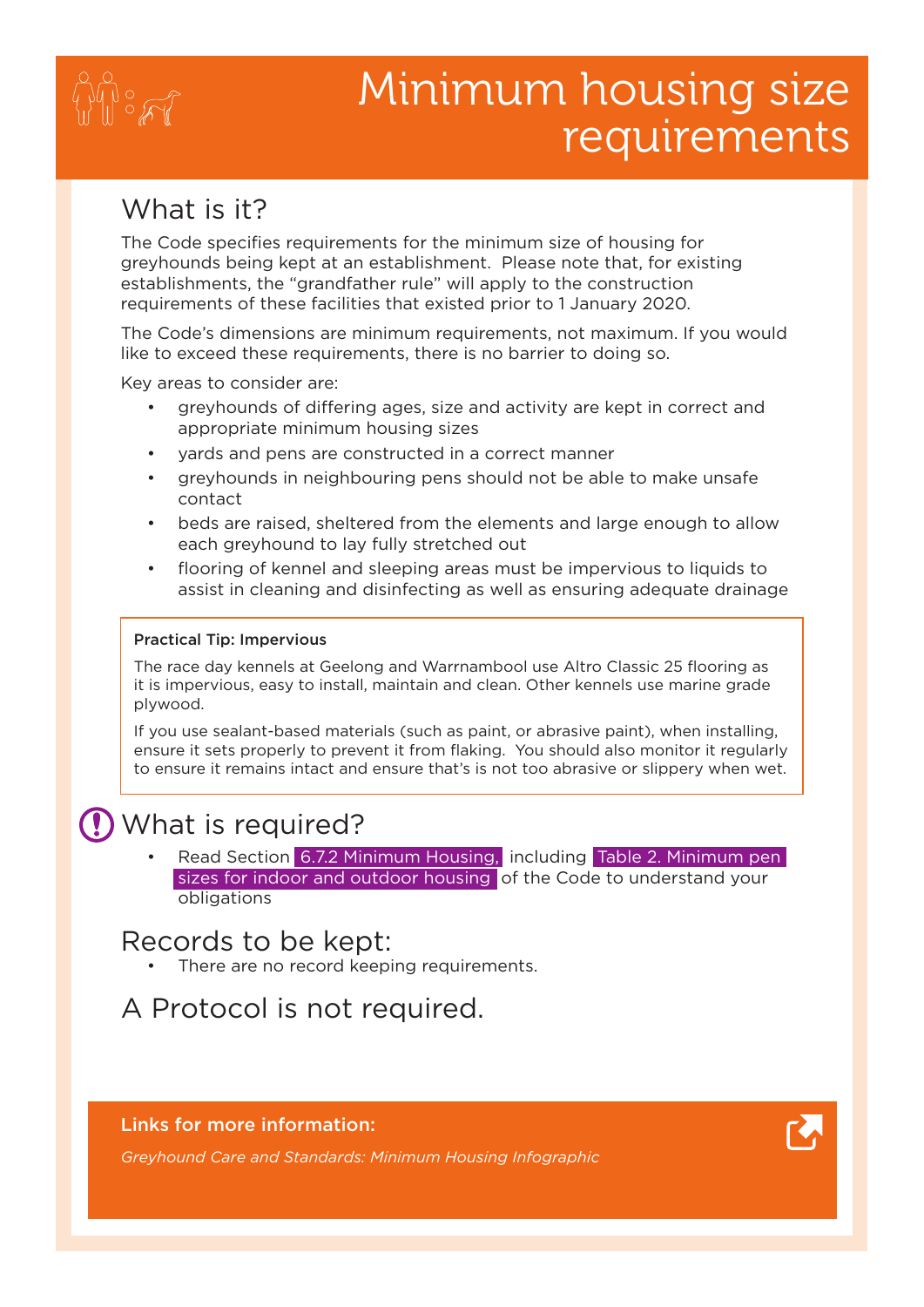

# Minimum housing size requirements

#### What is it?

The Code specifies requirements for the minimum size of housing for greyhounds being kept at an establishment. Please note that, for existing establishments, the "grandfather rule" will apply to the construction requirements of these facilities that existed prior to 1 January 2020.

The Code's dimensions are minimum requirements, not maximum. If you would like to exceed these requirements, there is no barrier to doing so.

Key areas to consider are:

- greyhounds of differing ages, size and activity are kept in correct and appropriate minimum housing sizes
- yards and pens are constructed in a correct manner
- greyhounds in neighbouring pens should not be able to make unsafe contact
- beds are raised, sheltered from the elements and large enough to allow each greyhound to lay fully stretched out
- flooring of kennel and sleeping areas must be impervious to liquids to assist in cleaning and disinfecting as well as ensuring adequate drainage

#### Practical Tip: Impervious

The race day kennels at Geelong and Warrnambool use Altro Classic 25 flooring as it is impervious, easy to install, maintain and clean. Other kennels use marine grade plywood.

If you use sealant-based materials (such as paint, or abrasive paint), when installing, ensure it sets properly to prevent it from flaking. You should also monitor it regularly to ensure it remains intact and ensure that's is not too abrasive or slippery when wet.

#### What is required?

Read Section 6.7.2 Minimum Housing, including Table 2. Minimum pen sizes for indoor and outdoor housing of the Code to understand your obligations

#### Records to be kept:

There are no record keeping requirements.

A Protocol is not required.

#### Links for more information:



*[Greyhound Care and Standards: Minimum Housing Infographic](https://greyhoundcare.grv.org.au/code-of-practice/)*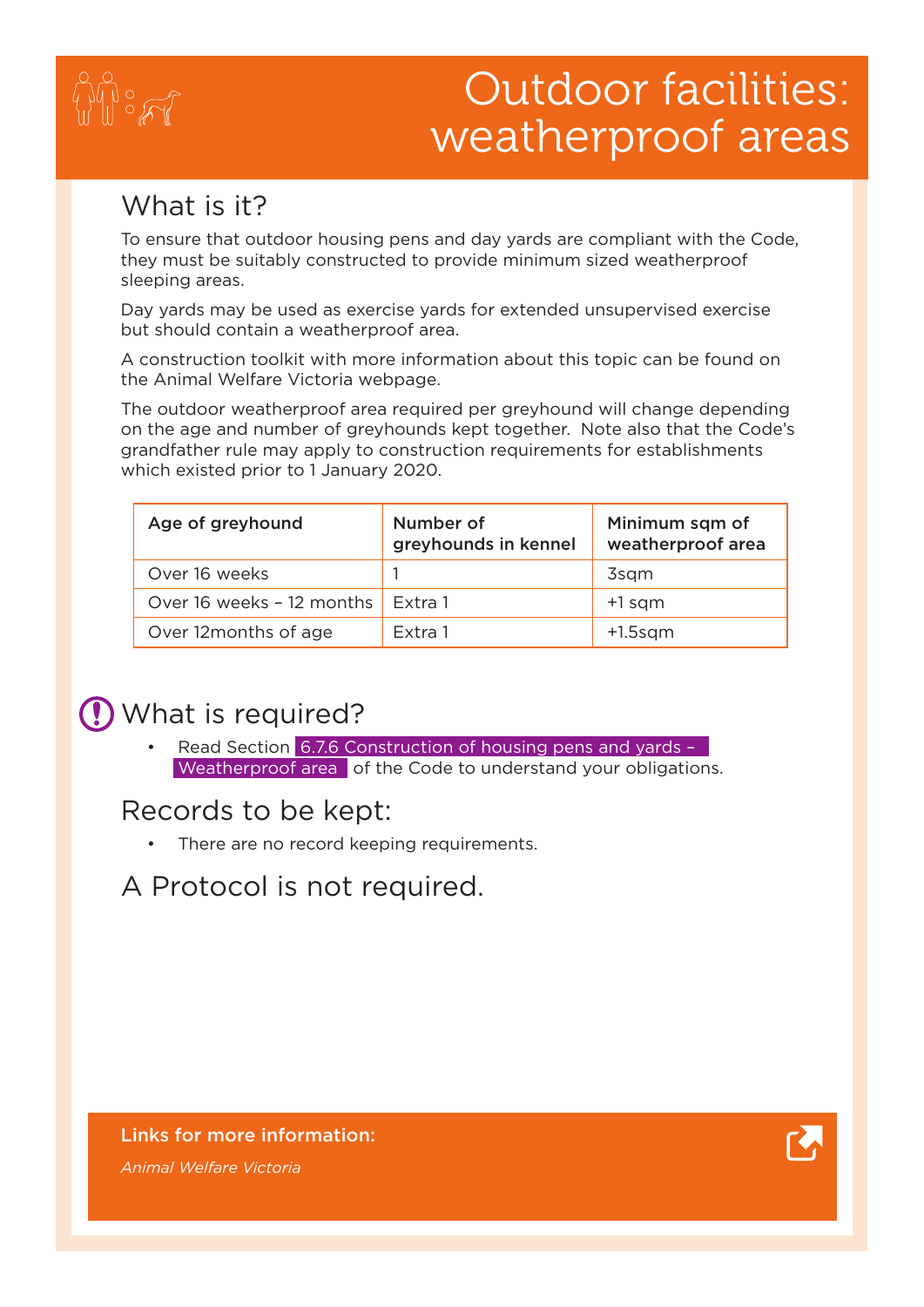

## Outdoor facilities: weatherproof areas

#### What is it?

To ensure that outdoor housing pens and day yards are compliant with the Code, they must be suitably constructed to provide minimum sized weatherproof sleeping areas.

Day yards may be used as exercise yards for extended unsupervised exercise but should contain a weatherproof area.

A construction toolkit with more information about this topic can be found on the Animal Welfare Victoria webpage.

The outdoor weatherproof area required per greyhound will change depending on the age and number of greyhounds kept together. Note also that the Code's grandfather rule may apply to construction requirements for establishments which existed prior to 1 January 2020.

| Age of greyhound          | Number of<br>greyhounds in kennel | Minimum sqm of<br>weatherproof area |
|---------------------------|-----------------------------------|-------------------------------------|
| Over 16 weeks             |                                   | 3sqm                                |
| Over 16 weeks - 12 months | Extra 1                           | $+1$ sqm                            |
| Over 12 months of age     | Extra 1                           | $+1.5$ sqm                          |

#### What is required?

Read Section 6.7.6 Construction of housing pens and yards -Weatherproof area of the Code to understand your obligations.

#### Records to be kept:

There are no record keeping requirements.

#### A Protocol is not required.

#### Links for more information:

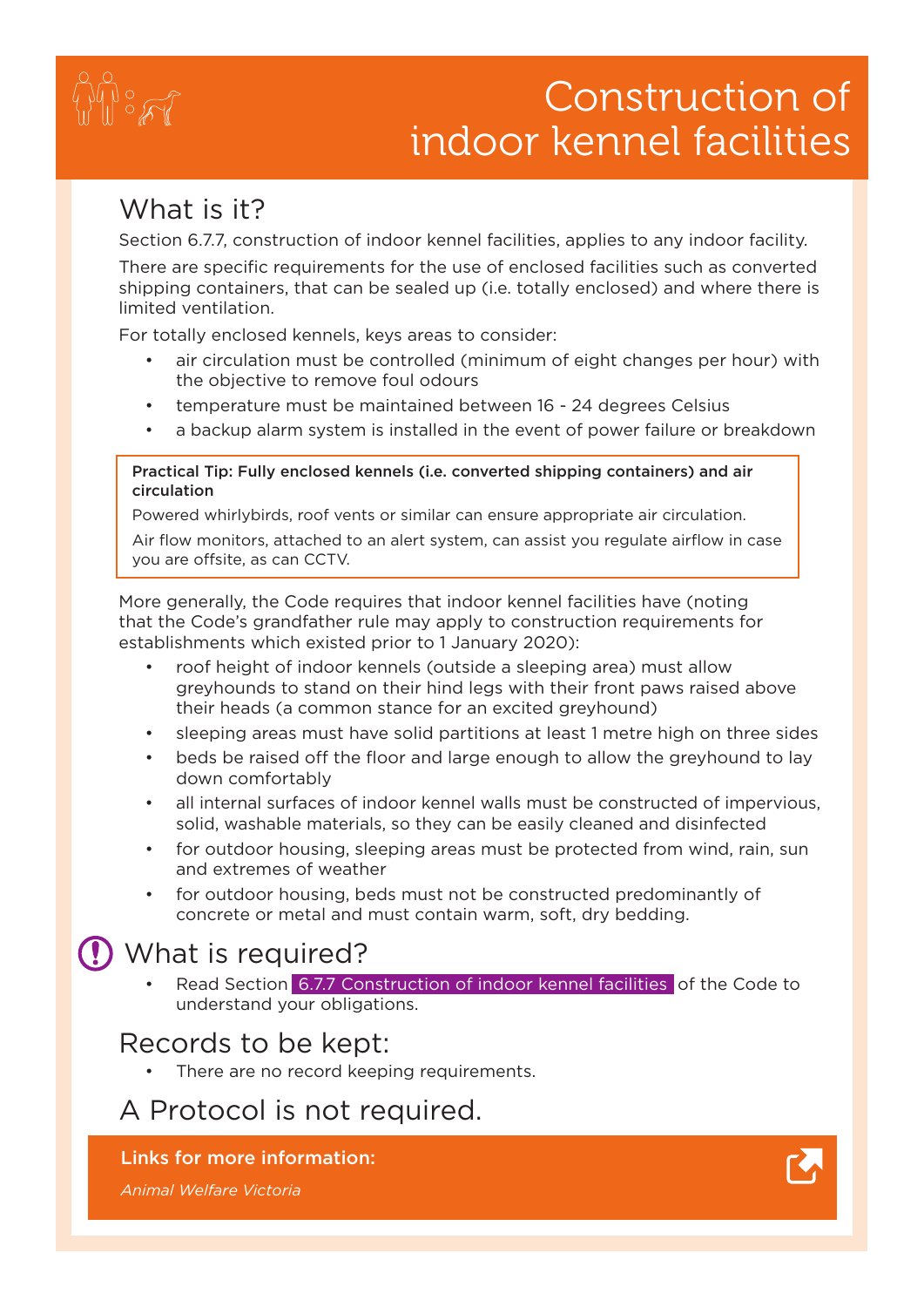#### Risk Assessments and Management plans for housing and exercise areas Construction of indoor kennel facilities

#### What is it?

Section 6.7.7, construction of indoor kennel facilities, applies to any indoor facility.

There are specific requirements for the use of enclosed facilities such as converted shipping containers, that can be sealed up (i.e. totally enclosed) and where there is limited ventilation.

For totally enclosed kennels, keys areas to consider:

- air circulation must be controlled (minimum of eight changes per hour) with the objective to remove foul odours
- temperature must be maintained between 16 24 degrees Celsius
- a backup alarm system is installed in the event of power failure or breakdown

#### Practical Tip: Fully enclosed kennels (i.e. converted shipping containers) and air circulation

Powered whirlybirds, roof vents or similar can ensure appropriate air circulation.

Air flow monitors, attached to an alert system, can assist you regulate airflow in case you are offsite, as can CCTV.

More generally, the Code requires that indoor kennel facilities have (noting that the Code's grandfather rule may apply to construction requirements for establishments which existed prior to 1 January 2020):

- roof height of indoor kennels (outside a sleeping area) must allow greyhounds to stand on their hind legs with their front paws raised above their heads (a common stance for an excited greyhound)
- sleeping areas must have solid partitions at least 1 metre high on three sides
- beds be raised off the floor and large enough to allow the greyhound to lay down comfortably
- all internal surfaces of indoor kennel walls must be constructed of impervious, solid, washable materials, so they can be easily cleaned and disinfected
- for outdoor housing, sleeping areas must be protected from wind, rain, sun and extremes of weather
- for outdoor housing, beds must not be constructed predominantly of concrete or metal and must contain warm, soft, dry bedding.

#### What is required?

Read Section 6.7.7 Construction of indoor kennel facilities of the Code to understand your obligations.

#### Records to be kept:

There are no record keeping requirements.

#### A Protocol is not required.

#### Links for more information:

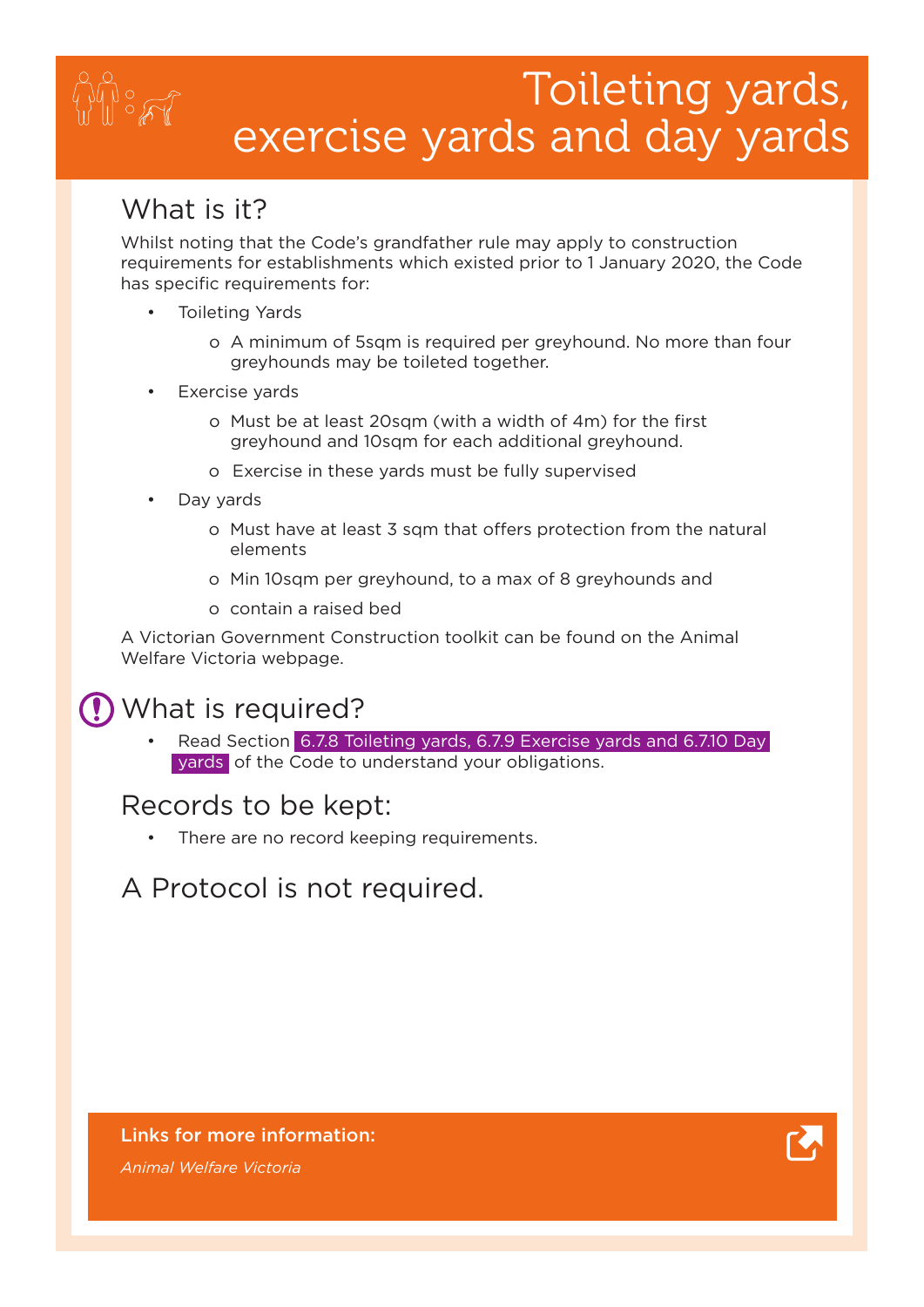## Toileting yards, exercise yards and day yards

#### What is it?

Whilst noting that the Code's grandfather rule may apply to construction requirements for establishments which existed prior to 1 January 2020, the Code has specific requirements for:

- **Toileting Yards** 
	- o A minimum of 5sqm is required per greyhound. No more than four greyhounds may be toileted together.
- Exercise yards
	- o Must be at least 20sqm (with a width of 4m) for the first greyhound and 10sqm for each additional greyhound.
	- o Exercise in these yards must be fully supervised
- Day yards
	- o Must have at least 3 sqm that offers protection from the natural elements
	- o Min 10sqm per greyhound, to a max of 8 greyhounds and
	- o contain a raised bed

A Victorian Government Construction toolkit can be found on the Animal Welfare Victoria webpage.

#### What is required?

Read Section 6.7.8 Toileting yards, 6.7.9 Exercise yards and 6.7.10 Day yards of the Code to understand your obligations.

#### Records to be kept:

There are no record keeping requirements.

A Protocol is not required.

#### Links for more information:

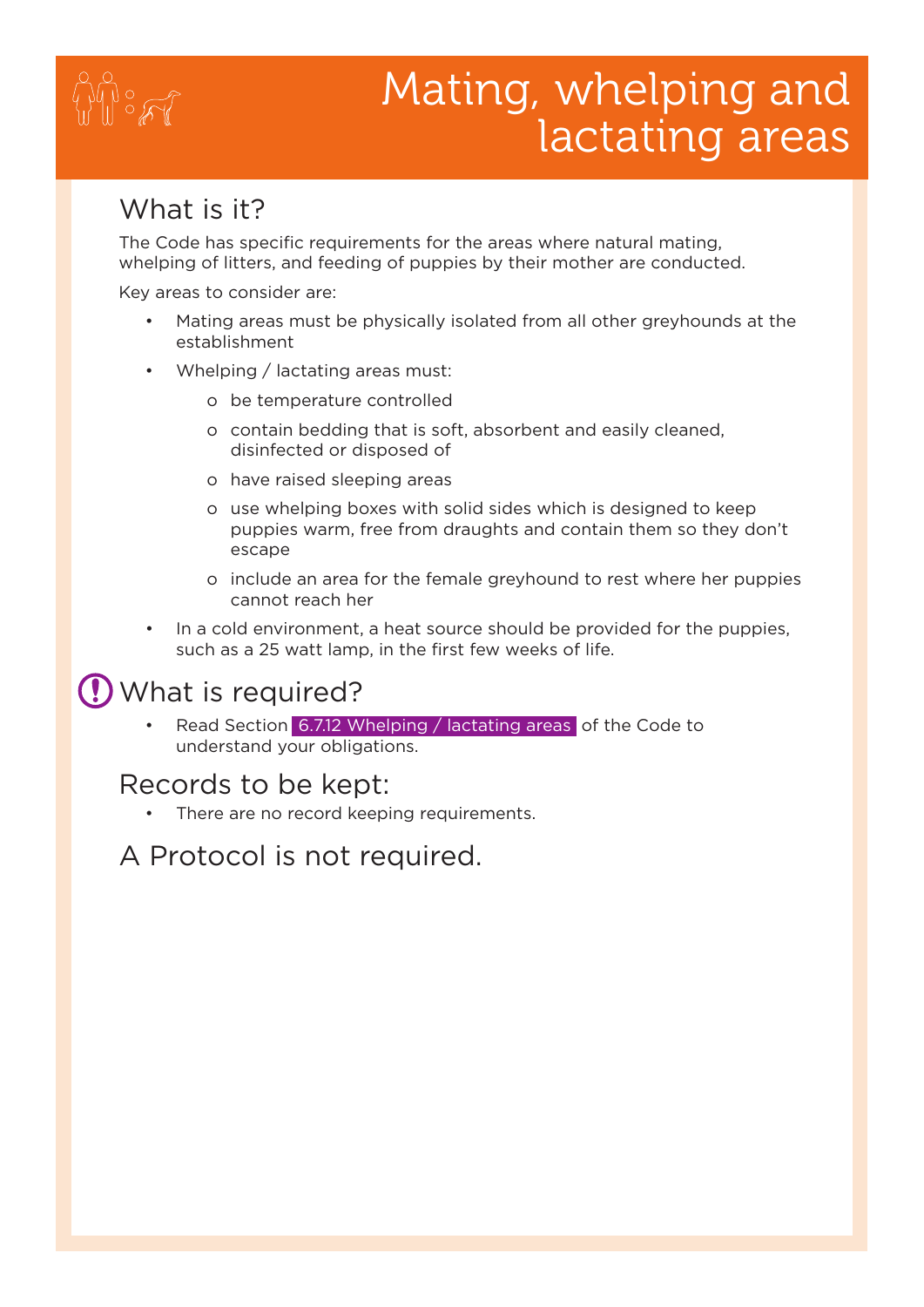# $\sum_{i=1}^N\frac{1}{i}$

# Mating, whelping and lactating areas

#### What is it?

The Code has specific requirements for the areas where natural mating, whelping of litters, and feeding of puppies by their mother are conducted.

Key areas to consider are:

- Mating areas must be physically isolated from all other greyhounds at the establishment
- Whelping / lactating areas must:
	- o be temperature controlled
	- o contain bedding that is soft, absorbent and easily cleaned, disinfected or disposed of
	- o have raised sleeping areas
	- o use whelping boxes with solid sides which is designed to keep puppies warm, free from draughts and contain them so they don't escape
	- o include an area for the female greyhound to rest where her puppies cannot reach her
- In a cold environment, a heat source should be provided for the puppies, such as a 25 watt lamp, in the first few weeks of life.

#### What is required?

Read Section 6.7.12 Whelping / lactating areas of the Code to understand your obligations.

#### Records to be kept:

There are no record keeping requirements.

A Protocol is not required.